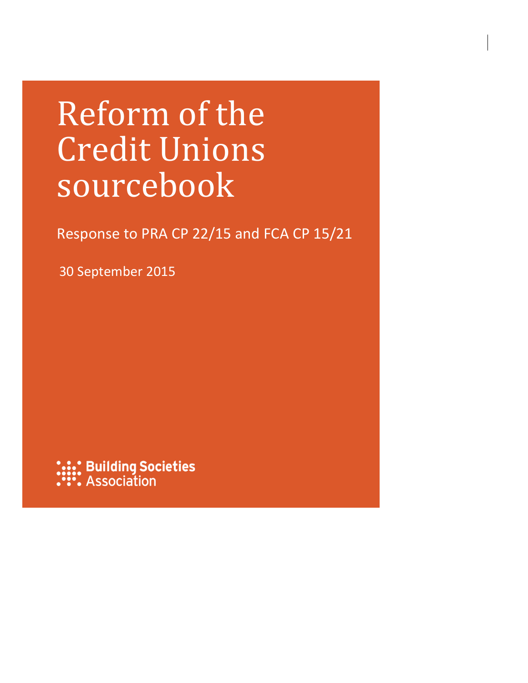# Reform of the Credit Unions sourcebook

Response to PRA CP 22/15 and FCA CP 15/21

30 September 2015

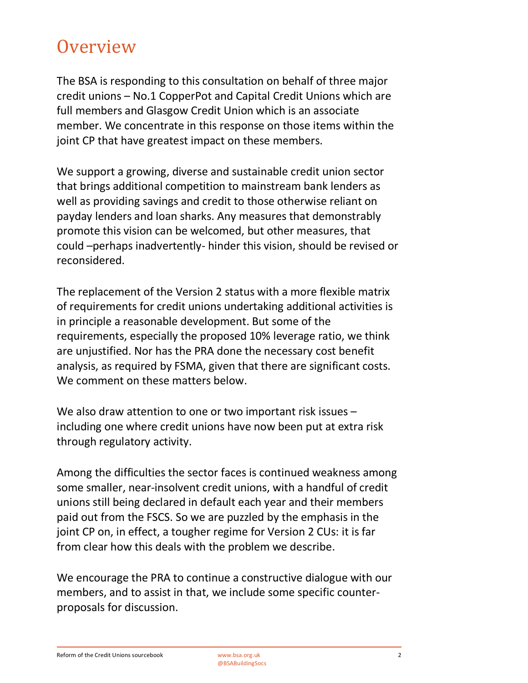### **Overview**

The BSA is responding to this consultation on behalf of three major credit unions – No.1 CopperPot and Capital Credit Unions which are full members and Glasgow Credit Union which is an associate member. We concentrate in this response on those items within the joint CP that have greatest impact on these members.

We support a growing, diverse and sustainable credit union sector that brings additional competition to mainstream bank lenders as well as providing savings and credit to those otherwise reliant on payday lenders and loan sharks. Any measures that demonstrably promote this vision can be welcomed, but other measures, that could –perhaps inadvertently- hinder this vision, should be revised or reconsidered.

The replacement of the Version 2 status with a more flexible matrix of requirements for credit unions undertaking additional activities is in principle a reasonable development. But some of the requirements, especially the proposed 10% leverage ratio, we think are unjustified. Nor has the PRA done the necessary cost benefit analysis, as required by FSMA, given that there are significant costs. We comment on these matters below.

We also draw attention to one or two important risk issues – including one where credit unions have now been put at extra risk through regulatory activity.

Among the difficulties the sector faces is continued weakness among some smaller, near-insolvent credit unions, with a handful of credit unions still being declared in default each year and their members paid out from the FSCS. So we are puzzled by the emphasis in the joint CP on, in effect, a tougher regime for Version 2 CUs: it is far from clear how this deals with the problem we describe.

We encourage the PRA to continue a constructive dialogue with our members, and to assist in that, we include some specific counterproposals for discussion.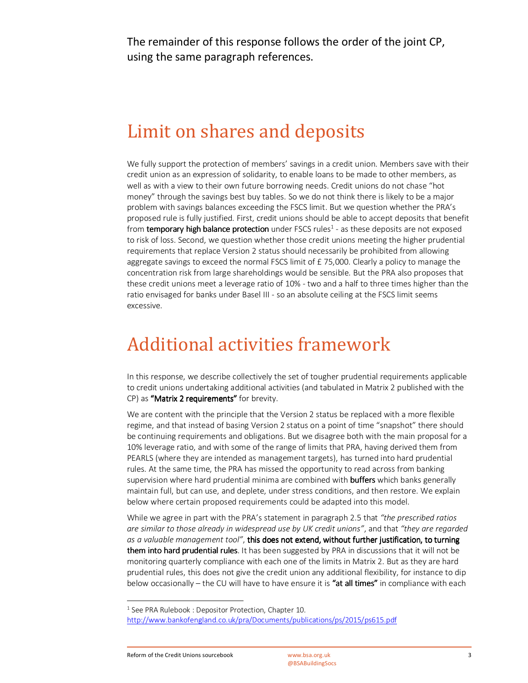The remainder of this response follows the order of the joint CP, using the same paragraph references.

### Limit on shares and deposits

We fully support the protection of members' savings in a credit union. Members save with their credit union as an expression of solidarity, to enable loans to be made to other members, as well as with a view to their own future borrowing needs. Credit unions do not chase "hot money" through the savings best buy tables. So we do not think there is likely to be a major problem with savings balances exceeding the FSCS limit. But we question whether the PRA's proposed rule is fully justified. First, credit unions should be able to accept deposits that benefit from temporary high balance protection under FSCS rules<sup>1</sup> - as these deposits are not exposed to risk of loss. Second, we question whether those credit unions meeting the higher prudential requirements that replace Version 2 status should necessarily be prohibited from allowing aggregate savings to exceed the normal FSCS limit of £75,000. Clearly a policy to manage the concentration risk from large shareholdings would be sensible. But the PRA also proposes that these credit unions meet a leverage ratio of 10% - two and a half to three times higher than the ratio envisaged for banks under Basel III - so an absolute ceiling at the FSCS limit seems excessive.

### Additional activities framework

In this response, we describe collectively the set of tougher prudential requirements applicable to credit unions undertaking additional activities (and tabulated in Matrix 2 published with the CP) as "Matrix 2 requirements" for brevity.

We are content with the principle that the Version 2 status be replaced with a more flexible regime, and that instead of basing Version 2 status on a point of time "snapshot" there should be continuing requirements and obligations. But we disagree both with the main proposal for a 10% leverage ratio, and with some of the range of limits that PRA, having derived them from PEARLS (where they are intended as management targets), has turned into hard prudential rules. At the same time, the PRA has missed the opportunity to read across from banking supervision where hard prudential minima are combined with **buffers** which banks generally maintain full, but can use, and deplete, under stress conditions, and then restore. We explain below where certain proposed requirements could be adapted into this model.

While we agree in part with the PRA's statement in paragraph 2.5 that *"the prescribed ratios are similar to those already in widespread use by UK credit unions"*, and that *"they are regarded as a valuable management tool"*, this does not extend, without further justification, to turning them into hard prudential rules. It has been suggested by PRA in discussions that it will not be monitoring quarterly compliance with each one of the limits in Matrix 2. But as they are hard prudential rules, this does not give the credit union any additional flexibility, for instance to dip below occasionally – the CU will have to have ensure it is "at all times" in compliance with each

<u>.</u>

<sup>&</sup>lt;sup>1</sup> See PRA Rulebook : Depositor Protection, Chapter 10. http://www.bankofengland.co.uk/pra/Documents/publications/ps/2015/ps615.pdf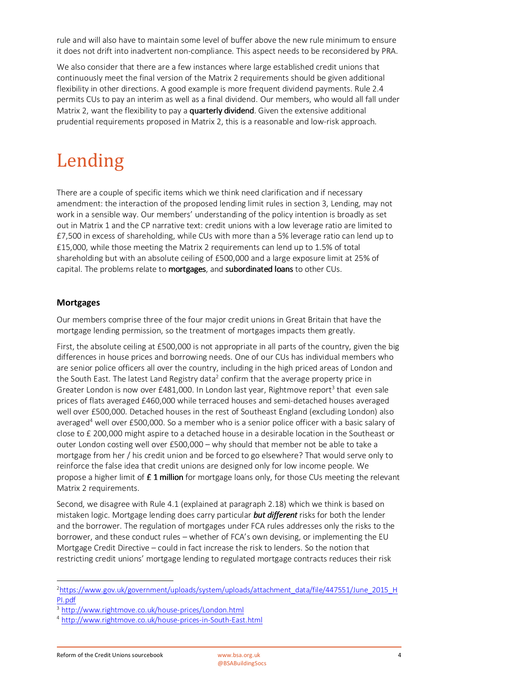rule and will also have to maintain some level of buffer above the new rule minimum to ensure it does not drift into inadvertent non-compliance. This aspect needs to be reconsidered by PRA.

We also consider that there are a few instances where large established credit unions that continuously meet the final version of the Matrix 2 requirements should be given additional flexibility in other directions. A good example is more frequent dividend payments. Rule 2.4 permits CUs to pay an interim as well as a final dividend. Our members, who would all fall under Matrix 2, want the flexibility to pay a quarterly dividend. Given the extensive additional prudential requirements proposed in Matrix 2, this is a reasonable and low-risk approach.

# Lending

There are a couple of specific items which we think need clarification and if necessary amendment: the interaction of the proposed lending limit rules in section 3, Lending, may not work in a sensible way. Our members' understanding of the policy intention is broadly as set out in Matrix 1 and the CP narrative text: credit unions with a low leverage ratio are limited to £7,500 in excess of shareholding, while CUs with more than a 5% leverage ratio can lend up to £15,000, while those meeting the Matrix 2 requirements can lend up to 1.5% of total shareholding but with an absolute ceiling of £500,000 and a large exposure limit at 25% of capital. The problems relate to mortgages, and subordinated loans to other CUs.

### **Mortgages**

Our members comprise three of the four major credit unions in Great Britain that have the mortgage lending permission, so the treatment of mortgages impacts them greatly.

First, the absolute ceiling at £500,000 is not appropriate in all parts of the country, given the big differences in house prices and borrowing needs. One of our CUs has individual members who are senior police officers all over the country, including in the high priced areas of London and the South East. The latest Land Registry data<sup>2</sup> confirm that the average property price in Greater London is now over £481,000. In London last year, Rightmove report<sup>3</sup> that even sale prices of flats averaged £460,000 while terraced houses and semi-detached houses averaged well over £500,000. Detached houses in the rest of Southeast England (excluding London) also averaged<sup>4</sup> well over £500,000. So a member who is a senior police officer with a basic salary of close to £ 200,000 might aspire to a detached house in a desirable location in the Southeast or outer London costing well over £500,000 – why should that member not be able to take a mortgage from her / his credit union and be forced to go elsewhere? That would serve only to reinforce the false idea that credit unions are designed only for low income people. We propose a higher limit of  $E 1$  million for mortgage loans only, for those CUs meeting the relevant Matrix 2 requirements.

Second, we disagree with Rule 4.1 (explained at paragraph 2.18) which we think is based on mistaken logic. Mortgage lending does carry particular *but different* risks for both the lender and the borrower. The regulation of mortgages under FCA rules addresses only the risks to the borrower, and these conduct rules – whether of FCA's own devising, or implementing the EU Mortgage Credit Directive – could in fact increase the risk to lenders. So the notion that restricting credit unions' mortgage lending to regulated mortgage contracts reduces their risk

 $\overline{\phantom{a}}$ 

<sup>&</sup>lt;sup>2</sup>https://www.gov.uk/government/uploads/system/uploads/attachment\_data/file/447551/June\_2015\_H PI.pdf

<sup>3</sup> http://www.rightmove.co.uk/house-prices/London.html

<sup>4</sup> http://www.rightmove.co.uk/house-prices-in-South-East.html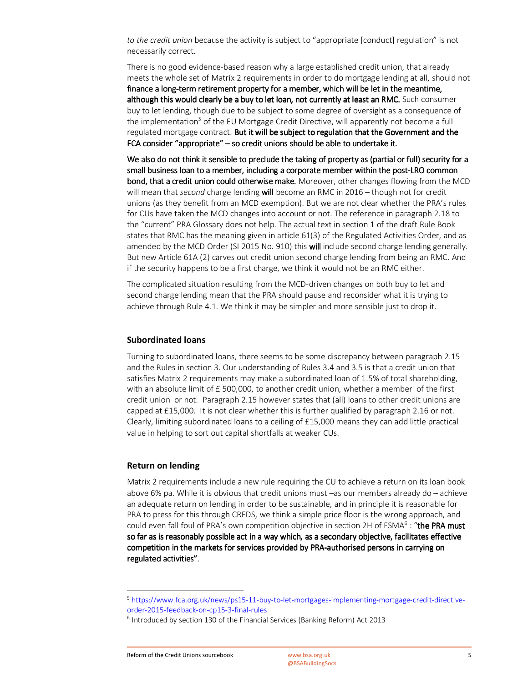*to the credit union* because the activity is subject to "appropriate [conduct] regulation" is not necessarily correct.

There is no good evidence-based reason why a large established credit union, that already meets the whole set of Matrix 2 requirements in order to do mortgage lending at all, should not finance a long-term retirement property for a member, which will be let in the meantime, although this would clearly be a buy to let loan, not currently at least an RMC. Such consumer buy to let lending, though due to be subject to some degree of oversight as a consequence of the implementation<sup>5</sup> of the EU Mortgage Credit Directive, will apparently not become a full regulated mortgage contract. But it will be subject to regulation that the Government and the FCA consider "appropriate" – so credit unions should be able to undertake it.

We also do not think it sensible to preclude the taking of property as (partial or full) security for a small business loan to a member, including a corporate member within the post-LRO common bond, that a credit union could otherwise make. Moreover, other changes flowing from the MCD will mean that *second* charge lending will become an RMC in 2016 – though not for credit unions (as they benefit from an MCD exemption). But we are not clear whether the PRA's rules for CUs have taken the MCD changes into account or not. The reference in paragraph 2.18 to the "current" PRA Glossary does not help. The actual text in section 1 of the draft Rule Book states that RMC has the meaning given in article 61(3) of the Regulated Activities Order, and as amended by the MCD Order (SI 2015 No. 910) this will include second charge lending generally. But new Article 61A (2) carves out credit union second charge lending from being an RMC. And if the security happens to be a first charge, we think it would not be an RMC either.

The complicated situation resulting from the MCD-driven changes on both buy to let and second charge lending mean that the PRA should pause and reconsider what it is trying to achieve through Rule 4.1. We think it may be simpler and more sensible just to drop it.

#### **Subordinated loans**

Turning to subordinated loans, there seems to be some discrepancy between paragraph 2.15 and the Rules in section 3. Our understanding of Rules 3.4 and 3.5 is that a credit union that satisfies Matrix 2 requirements may make a subordinated loan of 1.5% of total shareholding, with an absolute limit of  $E$  500,000, to another credit union, whether a member of the first credit union or not. Paragraph 2.15 however states that (all) loans to other credit unions are capped at £15,000. It is not clear whether this is further qualified by paragraph 2.16 or not. Clearly, limiting subordinated loans to a ceiling of £15,000 means they can add little practical value in helping to sort out capital shortfalls at weaker CUs.

#### **Return on lending**

<u>.</u>

Matrix 2 requirements include a new rule requiring the CU to achieve a return on its loan book above 6% pa. While it is obvious that credit unions must –as our members already do – achieve an adequate return on lending in order to be sustainable, and in principle it is reasonable for PRA to press for this through CREDS, we think a simple price floor is the wrong approach, and could even fall foul of PRA's own competition objective in section 2H of FSMA<sup>6</sup>: "the PRA must so far as is reasonably possible act in a way which, as a secondary objective, facilitates effective competition in the markets for services provided by PRA-authorised persons in carrying on regulated activities".

<sup>5</sup> https://www.fca.org.uk/news/ps15-11-buy-to-let-mortgages-implementing-mortgage-credit-directiveorder-2015-feedback-on-cp15-3-final-rules

<sup>&</sup>lt;sup>6</sup> Introduced by section 130 of the Financial Services (Banking Reform) Act 2013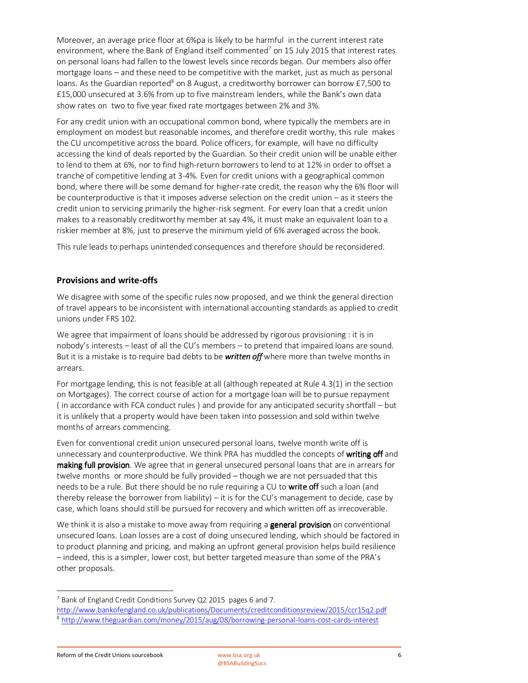Moreover, an average price floor at 6%pa is likely to be harmful in the current interest rate environment, where the Bank of England itself commented<sup>7</sup> on 15 July 2015 that interest rates on personal loans had fallen to the lowest levels since records began. Our members also offer mortgage loans – and these need to be competitive with the market, just as much as personal loans. As the Guardian reported<sup>8</sup> on 8 August, a creditworthy borrower can borrow £7,500 to £15,000 unsecured at 3.6% from up to five mainstream lenders, while the Bank's own data show rates on two to five year fixed rate mortgages between 2% and 3%.

For any credit union with an occupational common bond, where typically the members are in employment on modest but reasonable incomes, and therefore credit worthy, this rule makes the CU uncompetitive across the board. Police officers, for example, will have no difficulty accessing the kind of deals reported by the Guardian. So their credit union will be unable either to lend to them at 6%, nor to find high-return borrowers to lend to at 12% in order to offset a tranche of competitive lending at 3-4%. Even for credit unions with a geographical common bond, where there will be some demand for higher-rate credit, the reason why the 6% floor will be counterproductive is that it imposes adverse selection on the credit union – as it steers the credit union to servicing primarily the higher-risk segment. For every loan that a credit union makes to a reasonably creditworthy member at say 4%, it must make an equivalent loan to a riskier member at 8%, just to preserve the minimum yield of 6% averaged across the book.

This rule leads to perhaps unintended consequences and therefore should be reconsidered.

### **Provisions and write-offs**

We disagree with some of the specific rules now proposed, and we think the general direction of travel appears to be inconsistent with international accounting standards as applied to credit unions under FRS 102.

We agree that impairment of loans should be addressed by rigorous provisioning : it is in nobody's interests – least of all the CU's members – to pretend that impaired loans are sound. But it is a mistake is to require bad debts to be *written off* where more than twelve months in arrears.

For mortgage lending, this is not feasible at all (although repeated at Rule 4.3(1) in the section on Mortgages). The correct course of action for a mortgage loan will be to pursue repayment ( in accordance with FCA conduct rules ) and provide for any anticipated security shortfall – but it is unlikely that a property would have been taken into possession and sold within twelve months of arrears commencing.

Even for conventional credit union unsecured personal loans, twelve month write off is unnecessary and counterproductive. We think PRA has muddled the concepts of writing off and making full provision. We agree that in general unsecured personal loans that are in arrears for twelve months or more should be fully provided – though we are not persuaded that this needs to be a rule. But there should be no rule requiring a CU to write off such a loan (and thereby release the borrower from liability) – it is for the CU's management to decide, case by case, which loans should still be pursued for recovery and which written off as irrecoverable.

We think it is also a mistake to move away from requiring a **general provision** on conventional unsecured loans. Loan losses are a cost of doing unsecured lending, which should be factored in to product planning and pricing, and making an upfront general provision helps build resilience – indeed, this is a simpler, lower cost, but better targeted measure than some of the PRA's other proposals.

l

<sup>&</sup>lt;sup>7</sup> Bank of England Credit Conditions Survey Q2 2015 pages 6 and 7.

http://www.bankofengland.co.uk/publications/Documents/creditconditionsreview/2015/ccr15q2.pdf

<sup>&</sup>lt;sup>8</sup> http://www.theguardian.com/money/2015/aug/08/borrowing-personal-loans-cost-cards-interest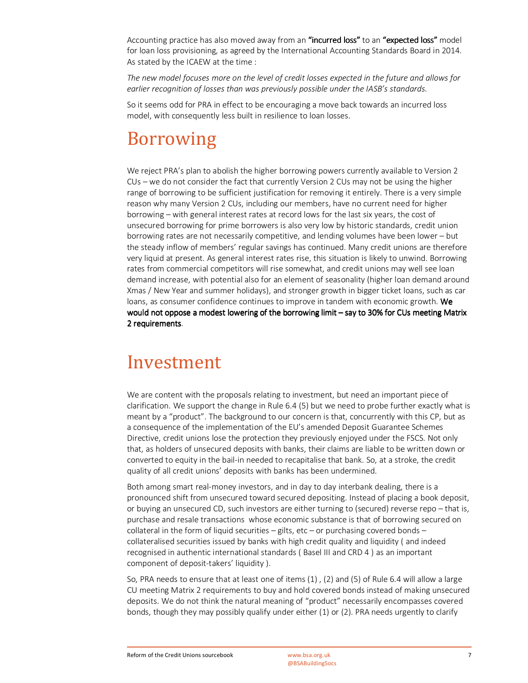Accounting practice has also moved away from an "incurred loss" to an "expected loss" model for loan loss provisioning, as agreed by the International Accounting Standards Board in 2014. As stated by the ICAEW at the time :

*The new model focuses more on the level of credit losses expected in the future and allows for earlier recognition of losses than was previously possible under the IASB's standards.* 

So it seems odd for PRA in effect to be encouraging a move back towards an incurred loss model, with consequently less built in resilience to loan losses.

# Borrowing

We reject PRA's plan to abolish the higher borrowing powers currently available to Version 2 CUs – we do not consider the fact that currently Version 2 CUs may not be using the higher range of borrowing to be sufficient justification for removing it entirely. There is a very simple reason why many Version 2 CUs, including our members, have no current need for higher borrowing – with general interest rates at record lows for the last six years, the cost of unsecured borrowing for prime borrowers is also very low by historic standards, credit union borrowing rates are not necessarily competitive, and lending volumes have been lower – but the steady inflow of members' regular savings has continued. Many credit unions are therefore very liquid at present. As general interest rates rise, this situation is likely to unwind. Borrowing rates from commercial competitors will rise somewhat, and credit unions may well see loan demand increase, with potential also for an element of seasonality (higher loan demand around Xmas / New Year and summer holidays), and stronger growth in bigger ticket loans, such as car loans, as consumer confidence continues to improve in tandem with economic growth. We would not oppose a modest lowering of the borrowing limit – say to 30% for CUs meeting Matrix 2 requirements.

### Investment

We are content with the proposals relating to investment, but need an important piece of clarification. We support the change in Rule 6.4 (5) but we need to probe further exactly what is meant by a "product". The background to our concern is that, concurrently with this CP, but as a consequence of the implementation of the EU's amended Deposit Guarantee Schemes Directive, credit unions lose the protection they previously enjoyed under the FSCS. Not only that, as holders of unsecured deposits with banks, their claims are liable to be written down or converted to equity in the bail-in needed to recapitalise that bank. So, at a stroke, the credit quality of all credit unions' deposits with banks has been undermined.

Both among smart real-money investors, and in day to day interbank dealing, there is a pronounced shift from unsecured toward secured depositing. Instead of placing a book deposit, or buying an unsecured CD, such investors are either turning to (secured) reverse repo – that is, purchase and resale transactions whose economic substance is that of borrowing secured on collateral in the form of liquid securities – gilts, etc – or purchasing covered bonds – collateralised securities issued by banks with high credit quality and liquidity ( and indeed recognised in authentic international standards ( Basel III and CRD 4 ) as an important component of deposit-takers' liquidity ).

So, PRA needs to ensure that at least one of items (1) , (2) and (5) of Rule 6.4 will allow a large CU meeting Matrix 2 requirements to buy and hold covered bonds instead of making unsecured deposits. We do not think the natural meaning of "product" necessarily encompasses covered bonds, though they may possibly qualify under either (1) or (2). PRA needs urgently to clarify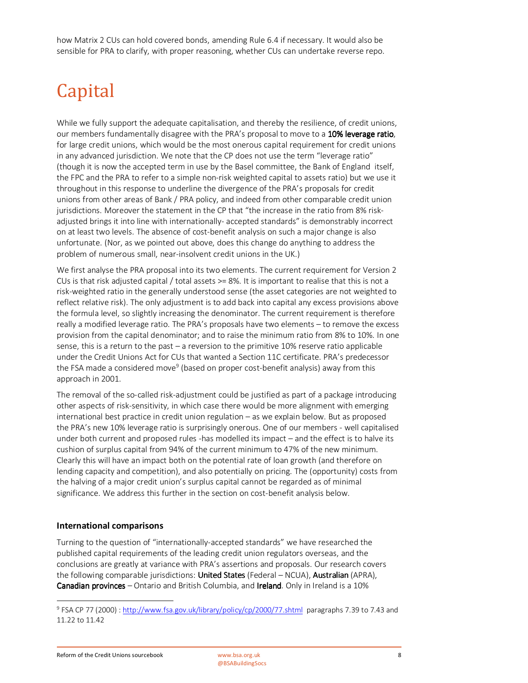how Matrix 2 CUs can hold covered bonds, amending Rule 6.4 if necessary. It would also be sensible for PRA to clarify, with proper reasoning, whether CUs can undertake reverse repo.

# Capital

While we fully support the adequate capitalisation, and thereby the resilience, of credit unions, our members fundamentally disagree with the PRA's proposal to move to a 10% leverage ratio. for large credit unions, which would be the most onerous capital requirement for credit unions in any advanced jurisdiction. We note that the CP does not use the term "leverage ratio" (though it is now the accepted term in use by the Basel committee, the Bank of England itself, the FPC and the PRA to refer to a simple non-risk weighted capital to assets ratio) but we use it throughout in this response to underline the divergence of the PRA's proposals for credit unions from other areas of Bank / PRA policy, and indeed from other comparable credit union jurisdictions. Moreover the statement in the CP that "the increase in the ratio from 8% riskadjusted brings it into line with internationally- accepted standards" is demonstrably incorrect on at least two levels. The absence of cost-benefit analysis on such a major change is also unfortunate. (Nor, as we pointed out above, does this change do anything to address the problem of numerous small, near-insolvent credit unions in the UK.)

We first analyse the PRA proposal into its two elements. The current requirement for Version 2 CUs is that risk adjusted capital / total assets  $>= 8\%$ . It is important to realise that this is not a risk-weighted ratio in the generally understood sense (the asset categories are not weighted to reflect relative risk). The only adjustment is to add back into capital any excess provisions above the formula level, so slightly increasing the denominator. The current requirement is therefore really a modified leverage ratio. The PRA's proposals have two elements – to remove the excess provision from the capital denominator; and to raise the minimum ratio from 8% to 10%. In one sense, this is a return to the past – a reversion to the primitive 10% reserve ratio applicable under the Credit Unions Act for CUs that wanted a Section 11C certificate. PRA's predecessor the FSA made a considered move<sup>9</sup> (based on proper cost-benefit analysis) away from this approach in 2001.

The removal of the so-called risk-adjustment could be justified as part of a package introducing other aspects of risk-sensitivity, in which case there would be more alignment with emerging international best practice in credit union regulation – as we explain below. But as proposed the PRA's new 10% leverage ratio is surprisingly onerous. One of our members - well capitalised under both current and proposed rules -has modelled its impact – and the effect is to halve its cushion of surplus capital from 94% of the current minimum to 47% of the new minimum. Clearly this will have an impact both on the potential rate of loan growth (and therefore on lending capacity and competition), and also potentially on pricing. The (opportunity) costs from the halving of a major credit union's surplus capital cannot be regarded as of minimal significance. We address this further in the section on cost-benefit analysis below.

### **International comparisons**

Turning to the question of "internationally-accepted standards" we have researched the published capital requirements of the leading credit union regulators overseas, and the conclusions are greatly at variance with PRA's assertions and proposals. Our research covers the following comparable jurisdictions: United States (Federal – NCUA), Australian (APRA), Canadian provinces – Ontario and British Columbia, and Ireland. Only in Ireland is a 10%

l

<sup>&</sup>lt;sup>9</sup> FSA CP 77 (2000) : http://www.fsa.gov.uk/library/policy/cp/2000/77.shtml paragraphs 7.39 to 7.43 and 11.22 to 11.42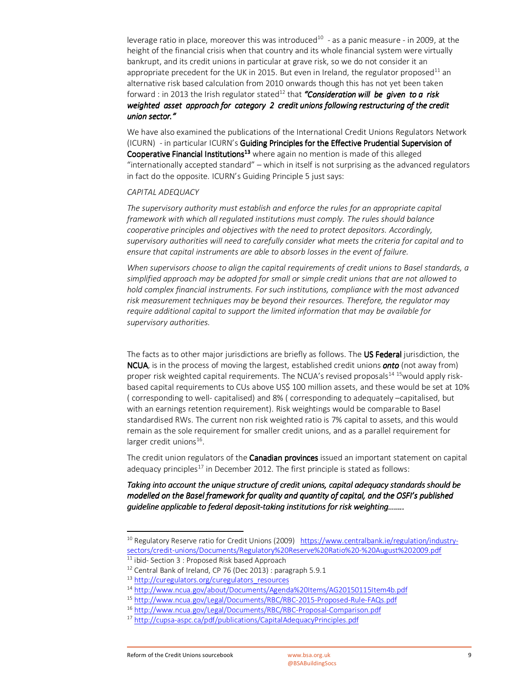leverage ratio in place, moreover this was introduced<sup>10</sup> - as a panic measure - in 2009, at the height of the financial crisis when that country and its whole financial system were virtually bankrupt, and its credit unions in particular at grave risk, so we do not consider it an appropriate precedent for the UK in 2015. But even in Ireland, the regulator proposed<sup>11</sup> an alternative risk based calculation from 2010 onwards though this has not yet been taken forward : in 2013 the Irish regulator stated<sup>12</sup> that "Consideration will be given to a risk *weighted asset approach for category 2 credit unions following restructuring of the credit union sector. union sector."*

We have also examined the publications of the International Credit Unions Regulators Network (ICURN) - in particular ICURN's Guiding Principles for the Effective Prudential Supervision of Cooperative Financial Institutions<sup>13</sup> where again no mention is made of this alleged "internationally accepted standard" – which in itself is not surprising as the advanced regulators in fact do the opposite. ICURN's Guiding Principle 5 just says:

#### *CAPITAL ADEQUACY*

*The supervisory authority must establish and enforce the rules for an appropriate capital framework with which all regulated institutions must comply. The rules should balance cooperative principles and objectives with the need to protect depositors. Accordingly, supervisory authorities will need to carefully consider what meets the criteria for capital and to ensure that capital instruments are able to absorb losses in the event of failure.* 

*When supervisors choose to align the capital requirements of credit unions to Basel standards, a simplified approach may be adopted for small or simple credit unions that are not allowed to hold complex financial instruments. For such institutions, compliance with the most advanced risk measurement techniques may be beyond their resources. Therefore, the regulator may require additional capital to support the limited information that may be available for supervisory authorities.* 

The facts as to other major jurisdictions are briefly as follows. The US Federal jurisdiction, the NCUA, is in the process of moving the largest, established credit unions *onto* (not away from) proper risk weighted capital requirements. The NCUA's revised proposals<sup>14 15</sup> would apply riskbased capital requirements to CUs above US\$ 100 million assets, and these would be set at 10% ( corresponding to well- capitalised) and 8% ( corresponding to adequately –capitalised, but with an earnings retention requirement). Risk weightings would be comparable to Basel standardised RWs. The current non risk weighted ratio is 7% capital to assets, and this would remain as the sole requirement for smaller credit unions, and as a parallel requirement for larger credit unions<sup>16</sup>.

The credit union regulators of the Canadian provinces issued an important statement on capital adequacy principles<sup>17</sup> in December 2012. The first principle is stated as follows:

*Taking into account the unique structure of credit unions, capital adequacy standards should be modelled on the Basel framework for quality and quantity of capital, and the OSFI's published guideline applicable to federal deposit- guideline to deposit-taking institutions for ri taking institutions for ritaking institutions risk weighting…….. sk weighting…….. sk weighting……..* 

-

<sup>&</sup>lt;sup>10</sup> Regulatory Reserve ratio for Credit Unions (2009) https://www.centralbank.ie/regulation/industrysectors/credit-unions/Documents/Regulatory%20Reserve%20Ratio%20-%20August%202009.pdf

<sup>11</sup> ibid- Section 3 : Proposed Risk based Approach

<sup>&</sup>lt;sup>12</sup> Central Bank of Ireland, CP 76 (Dec 2013) : paragraph 5.9.1

<sup>13</sup> http://curegulators.org/curegulators\_resources

<sup>14</sup> http://www.ncua.gov/about/Documents/Agenda%20Items/AG20150115Item4b.pdf

<sup>15</sup> http://www.ncua.gov/Legal/Documents/RBC/RBC-2015-Proposed-Rule-FAQs.pdf

<sup>16</sup> http://www.ncua.gov/Legal/Documents/RBC/RBC-Proposal-Comparison.pdf

<sup>17</sup> http://cupsa-aspc.ca/pdf/publications/CapitalAdequacyPrinciples.pdf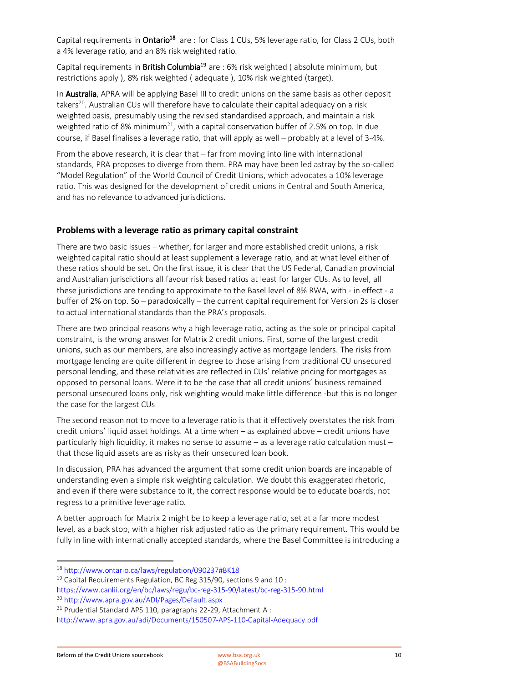Capital requirements in **Ontario<sup>18</sup>** are : for Class 1 CUs, 5% leverage ratio, for Class 2 CUs, both a 4% leverage ratio, and an 8% risk weighted ratio.

Capital requirements in British Columbia<sup>19</sup> are : 6% risk weighted ( absolute minimum, but restrictions apply ), 8% risk weighted ( adequate ), 10% risk weighted (target).

In Australia, APRA will be applying Basel III to credit unions on the same basis as other deposit takers<sup>20</sup>. Australian CUs will therefore have to calculate their capital adequacy on a risk weighted basis, presumably using the revised standardised approach, and maintain a risk weighted ratio of 8% minimum<sup>21</sup>, with a capital conservation buffer of 2.5% on top. In due course, if Basel finalises a leverage ratio, that will apply as well – probably at a level of 3-4%.

From the above research, it is clear that – far from moving into line with international standards, PRA proposes to diverge from them. PRA may have been led astray by the so-called "Model Regulation" of the World Council of Credit Unions, which advocates a 10% leverage ratio. This was designed for the development of credit unions in Central and South America, and has no relevance to advanced jurisdictions.

### **Problems with a leverage ratio as primary capital constraint**

There are two basic issues – whether, for larger and more established credit unions, a risk weighted capital ratio should at least supplement a leverage ratio, and at what level either of these ratios should be set. On the first issue, it is clear that the US Federal, Canadian provincial and Australian jurisdictions all favour risk based ratios at least for larger CUs. As to level, all these jurisdictions are tending to approximate to the Basel level of 8% RWA, with - in effect - a buffer of 2% on top. So – paradoxically – the current capital requirement for Version 2s is closer to actual international standards than the PRA's proposals.

There are two principal reasons why a high leverage ratio, acting as the sole or principal capital constraint, is the wrong answer for Matrix 2 credit unions. First, some of the largest credit unions, such as our members, are also increasingly active as mortgage lenders. The risks from mortgage lending are quite different in degree to those arising from traditional CU unsecured personal lending, and these relativities are reflected in CUs' relative pricing for mortgages as opposed to personal loans. Were it to be the case that all credit unions' business remained personal unsecured loans only, risk weighting would make little difference -but this is no longer the case for the largest CUs

The second reason not to move to a leverage ratio is that it effectively overstates the risk from credit unions' liquid asset holdings. At a time when – as explained above – credit unions have particularly high liquidity, it makes no sense to assume – as a leverage ratio calculation must – that those liquid assets are as risky as their unsecured loan book.

In discussion, PRA has advanced the argument that some credit union boards are incapable of understanding even a simple risk weighting calculation. We doubt this exaggerated rhetoric, and even if there were substance to it, the correct response would be to educate boards, not regress to a primitive leverage ratio.

A better approach for Matrix 2 might be to keep a leverage ratio, set at a far more modest level, as a back stop, with a higher risk adjusted ratio as the primary requirement. This would be fully in line with internationally accepted standards, where the Basel Committee is introducing a

l

<sup>18</sup> http://www.ontario.ca/laws/regulation/090237#BK18

 $19$  Capital Requirements Regulation, BC Reg 315/90, sections 9 and 10 :

https://www.canlii.org/en/bc/laws/regu/bc-reg-315-90/latest/bc-reg-315-90.html

<sup>20</sup> http://www.apra.gov.au/ADI/Pages/Default.aspx

 $21$  Prudential Standard APS 110, paragraphs 22-29, Attachment A:

http://www.apra.gov.au/adi/Documents/150507-APS-110-Capital-Adequacy.pdf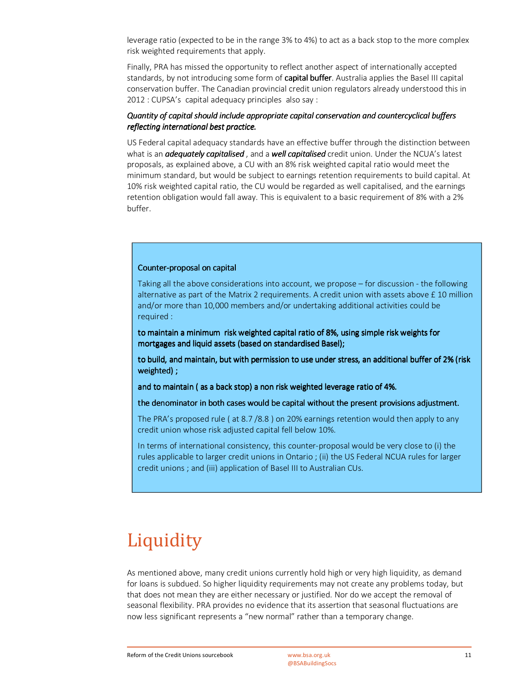leverage ratio (expected to be in the range 3% to 4%) to act as a back stop to the more complex risk weighted requirements that apply.

Finally, PRA has missed the opportunity to reflect another aspect of internationally accepted standards, by not introducing some form of capital buffer. Australia applies the Basel III capital conservation buffer. The Canadian provincial credit union regulators already understood this in 2012 : CUPSA's capital adequacy principles also say :

#### *Quantity of capital should include appropriate capital conservation and countercyclical buffers reflecting international best practice.*

US Federal capital adequacy standards have an effective buffer through the distinction between what is an *adequately capitalised* , and a *well capitalised* credit union. Under the NCUA's latest proposals, as explained above, a CU with an 8% risk weighted capital ratio would meet the minimum standard, but would be subject to earnings retention requirements to build capital. At 10% risk weighted capital ratio, the CU would be regarded as well capitalised, and the earnings retention obligation would fall away. This is equivalent to a basic requirement of 8% with a 2% buffer.

#### Counter-proposal on capital

Taking all the above considerations into account, we propose – for discussion - the following alternative as part of the Matrix 2 requirements. A credit union with assets above £ 10 million and/or more than 10,000 members and/or undertaking additional activities could be required :

to maintain a minimum risk weighted capital ratio of 8%, using simple risk weights for mortgages and liquid assets (based on standardised Basel);

to build, and maintain, but with permission to use under stress, an additional buffer of 2% (risk weighted) ; ;

and to maintain ( as a back stop) a non risk weighted leverage ratio of 4%.

the denominator in both cases would be capital without the present provisions adjustment.

The PRA's proposed rule ( at 8.7 /8.8 ) on 20% earnings retention would then apply to any credit union whose risk adjusted capital fell below 10%.

In terms of international consistency, this counter-proposal would be very close to (i) the rules applicable to larger credit unions in Ontario ; (ii) the US Federal NCUA rules for larger credit unions ; and (iii) application of Basel III to Australian CUs.

# **Liquidity**

As mentioned above, many credit unions currently hold high or very high liquidity, as demand for loans is subdued. So higher liquidity requirements may not create any problems today, but that does not mean they are either necessary or justified. Nor do we accept the removal of seasonal flexibility. PRA provides no evidence that its assertion that seasonal fluctuations are now less significant represents a "new normal" rather than a temporary change.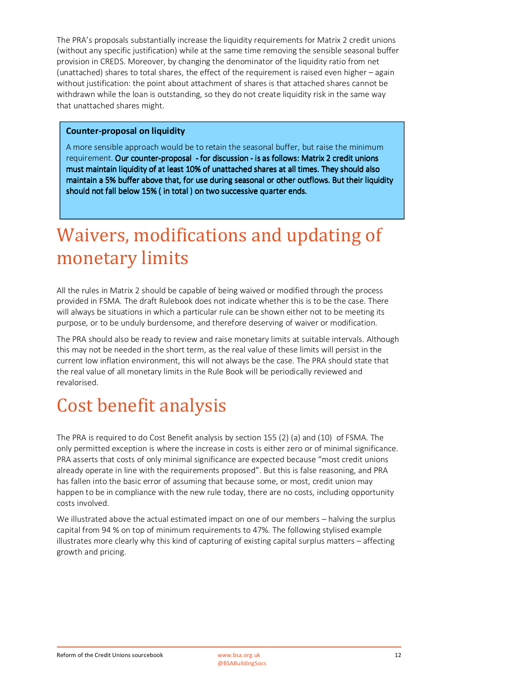The PRA's proposals substantially increase the liquidity requirements for Matrix 2 credit unions (without any specific justification) while at the same time removing the sensible seasonal buffer provision in CREDS. Moreover, by changing the denominator of the liquidity ratio from net (unattached) shares to total shares, the effect of the requirement is raised even higher – again without justification: the point about attachment of shares is that attached shares cannot be withdrawn while the loan is outstanding, so they do not create liquidity risk in the same way that unattached shares might.

### **Counter-proposal on liquidity**

A more sensible approach would be to retain the seasonal buffer, but raise the minimum requirement. Our counter-proposal - for discussion - is as follows: Matrix 2 credit unions must maintain liquidity of at least 10% of unattached shares at all times. They should also maintain a 5% buffer above that, for use during seasonal or other outflows. But their liquidity should not fall below 15% ( in total ) on two successive quarter ends.

# Waivers, modifications and updating of monetary limits

All the rules in Matrix 2 should be capable of being waived or modified through the process provided in FSMA. The draft Rulebook does not indicate whether this is to be the case. There will always be situations in which a particular rule can be shown either not to be meeting its purpose, or to be unduly burdensome, and therefore deserving of waiver or modification.

The PRA should also be ready to review and raise monetary limits at suitable intervals. Although this may not be needed in the short term, as the real value of these limits will persist in the current low inflation environment, this will not always be the case. The PRA should state that the real value of all monetary limits in the Rule Book will be periodically reviewed and revalorised.

### Cost benefit analysis

The PRA is required to do Cost Benefit analysis by section 155 (2) (a) and (10) of FSMA. The only permitted exception is where the increase in costs is either zero or of minimal significance. PRA asserts that costs of only minimal significance are expected because "most credit unions already operate in line with the requirements proposed". But this is false reasoning, and PRA has fallen into the basic error of assuming that because some, or most, credit union may happen to be in compliance with the new rule today, there are no costs, including opportunity costs involved.

We illustrated above the actual estimated impact on one of our members – halving the surplus capital from 94 % on top of minimum requirements to 47%. The following stylised example illustrates more clearly why this kind of capturing of existing capital surplus matters – affecting growth and pricing.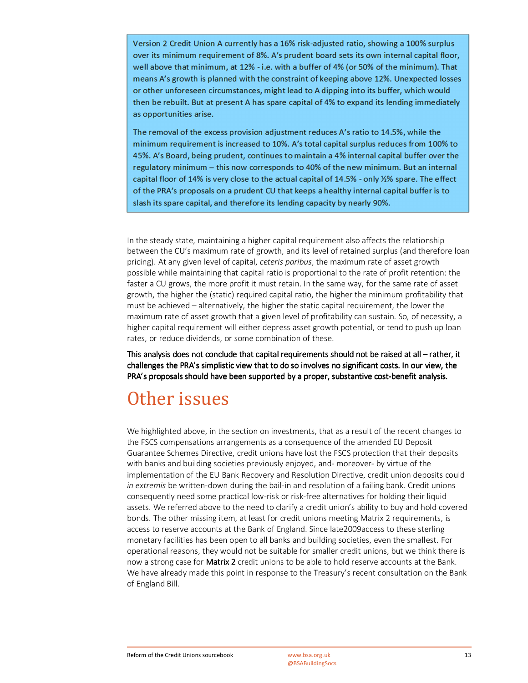Version 2 Credit Union A currently has a 16% risk-adjusted ratio, showing a 100% surplus over its minimum requirement of 8%. A's prudent board sets its own internal capital floor, well above that minimum, at 12% - i.e. with a buffer of 4% (or 50% of the minimum). That means A's growth is planned with the constraint of keeping above 12%. Unexpected losses or other unforeseen circumstances, might lead to A dipping into its buffer, which would then be rebuilt. But at present A has spare capital of 4% to expand its lending immediately as opportunities arise.

The removal of the excess provision adjustment reduces A's ratio to 14.5%, while the minimum requirement is increased to 10%. A's total capital surplus reduces from 100% to 45%. A's Board, being prudent, continues to maintain a 4% internal capital buffer over the regulatory minimum - this now corresponds to 40% of the new minimum. But an internal capital floor of 14% is very close to the actual capital of 14.5% - only 1/2% spare. The effect of the PRA's proposals on a prudent CU that keeps a healthy internal capital buffer is to slash its spare capital, and therefore its lending capacity by nearly 90%.

In the steady state, maintaining a higher capital requirement also affects the relationship between the CU's maximum rate of growth, and its level of retained surplus (and therefore loan pricing). At any given level of capital, *ceteris paribus*, the maximum rate of asset growth possible while maintaining that capital ratio is proportional to the rate of profit retention: the faster a CU grows, the more profit it must retain. In the same way, for the same rate of asset growth, the higher the (static) required capital ratio, the higher the minimum profitability that must be achieved – alternatively, the higher the static capital requirement, the lower the maximum rate of asset growth that a given level of profitability can sustain. So, of necessity, a higher capital requirement will either depress asset growth potential, or tend to push up loan rates, or reduce dividends, or some combination of these.

This analysis does not conclude that capital requirements should not be raised at all – rather, it challenges the PRA's simplistic view that to do so involves no significant costs. In our view, the PRA's proposals should have been supported by a proper, substantive cost-benefit analysis.

### Other issues

We highlighted above, in the section on investments, that as a result of the recent changes to the FSCS compensations arrangements as a consequence of the amended EU Deposit Guarantee Schemes Directive, credit unions have lost the FSCS protection that their deposits with banks and building societies previously enjoyed, and- moreover- by virtue of the implementation of the EU Bank Recovery and Resolution Directive, credit union deposits could *in extremis* be written-down during the bail-in and resolution of a failing bank. Credit unions consequently need some practical low-risk or risk-free alternatives for holding their liquid assets. We referred above to the need to clarify a credit union's ability to buy and hold covered bonds. The other missing item, at least for credit unions meeting Matrix 2 requirements, is access to reserve accounts at the Bank of England. Since late2009access to these sterling monetary facilities has been open to all banks and building societies, even the smallest. For operational reasons, they would not be suitable for smaller credit unions, but we think there is now a strong case for **Matrix 2** credit unions to be able to hold reserve accounts at the Bank. We have already made this point in response to the Treasury's recent consultation on the Bank of England Bill.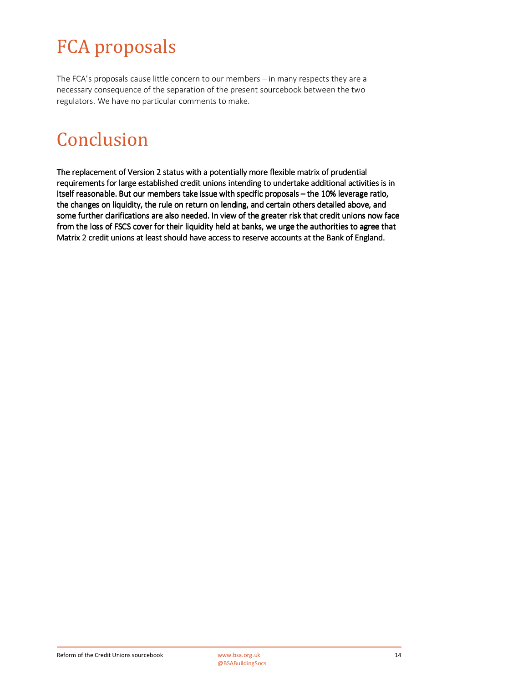# FCA proposals

The FCA's proposals cause little concern to our members – in many respects they are a necessary consequence of the separation of the present sourcebook between the two regulators. We have no particular comments to make.

# Conclusion

The replacement of Version 2 status with a potentially more flexible matrix of prudential requirements for large established credit unions intending to undertake additional activities is in itself reasonable. But our members take issue with specific proposals – the 10% leverage ratio, the changes on liquidity, the rule on return on lending, and certain others detailed above, and some further clarifications are also needed. In view of the greater risk that credit unions now face from the loss of FSCS cover for their liquidity held at banks, we urge the authorities to agree that Matrix 2 credit unions at least should have access to reserve accounts at the Bank of England.